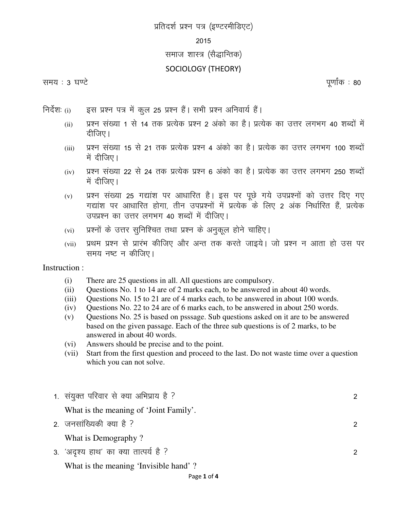# *प्र*तिदर्श प्रश्न पत्र (इण्टरमीडिएट)

#### *2015*

## समाज शास्त्र (सैद्धान्तिक)

### SOCIOLOGY (THEORY)

#### *le; % 3 ?k.V s iw.kkZ ad % 80*

- *fun sZ"k%* (i) *bl iz"u i= e sa dqy 25 iz"u gS aA lHkh iz"u vfuok;Z g S aA* 
	- (ii) प्रश्न संख्या 1 से 14 तक प्रत्येक प्रश्न 2 अंको का है। प्रत्येक का उत्तर लगभग 40 शब्दों में *nhft,A*
	- (iii) प्रश्न संख्या 15 से 21 तक प्रत्येक प्रश्न 4 अंको का है। प्रत्येक का उत्तर लगभग 100 शब्दों में दीजिए।
	- (iv) प्रश्न संख्या 22 से 24 तक प्रत्येक प्रश्न 6 अंको का है। प्रत्येक का उत्तर लगभग 250 शब्दों में दीजिए।
	- (v) प्रश्न संख्या 25 गद्यांश पर आधारित है। इस पर पूछे गये उपप्रश्नों को उत्तर दिए गए *x|ka"k ij vk/kkfjr gk sxk] rhu miiz"uksa esa izR;sd ds fy, 2 vad fu/kkZfjr gSa] izR; sd miiz"u dk mŸkj yxHkx 40 "kCnk sa esa nhft,A*
	- (vi) प्रश्नों के उत्तर सुनिश्चित तथा प्रश्न के अनुकूल होने चाहिए।
	- (vii) प्रथम प्रश्न से प्रारंभ कीजिए और अन्त तक करते जाइये। जो प्रश्न न आता हो उस पर *le; u'V u dhft,A*

Instruction :

- (i) There are 25 questions in all. All questions are compulsory.
- (ii) Questions No. 1 to 14 are of 2 marks each, to be answered in about 40 words.
- (iii) Questions No. 15 to 21 are of 4 marks each, to be answered in about 100 words.
- (iv) Questions No. 22 to 24 are of 6 marks each, to be answered in about 250 words.
- (v) Questions No. 25 is based on psssage. Sub questions asked on it are to be answered based on the given passage. Each of the three sub questions is of 2 marks, to be answered in about 40 words.
- (vi) Answers should be precise and to the point.
- (vii) Start from the first question and proceed to the last. Do not waste time over a question which you can not solve.

| 1. संयुक्त परिवार से क्या अभिप्राय है ? | $\mathcal{P}$ |
|-----------------------------------------|---------------|
| What is the meaning of 'Joint Family'.  |               |
| 2. जनसांख्यिकी क्या है ?                | $\mathcal{P}$ |
| What is Demography?                     |               |
| 3. 'अदृश्य हाथ' का क्या तात्पर्य है ?   | $\mathcal{P}$ |
| What is the meaning 'Invisible hand'?   |               |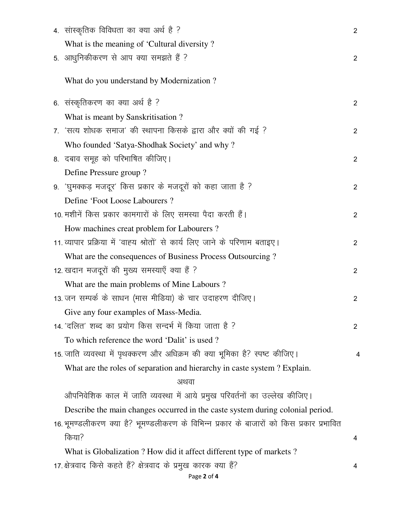| 4. सांस्कृतिक विविधता का क्या अर्थ है ?                                                  | $\overline{2}$ |
|------------------------------------------------------------------------------------------|----------------|
| What is the meaning of 'Cultural diversity?                                              |                |
| 5. आधुनिकीकरण से आप क्या समझते हैं ?                                                     | 2              |
| What do you understand by Modernization?                                                 |                |
| 6. संस्कृतिकरण का क्या अर्थ है ?                                                         | $\overline{2}$ |
| What is meant by Sanskritisation?                                                        |                |
| 7. 'सत्य शोधक समाज' की स्थापना किसके द्वारा और क्यों की गई ?                             | $\overline{2}$ |
| Who founded 'Satya-Shodhak Society' and why?                                             |                |
| 8. दबाव समूह को परिभाषित कीजिए।                                                          | 2              |
| Define Pressure group?                                                                   |                |
| 9. 'घुमक्कड़ मजदूर' किस प्रकार के मजदूरों को कहा जाता है ?                               | 2              |
| Define 'Foot Loose Labourers ?                                                           |                |
| 10. मशीनें किस प्रकार कामगारों के लिए समस्या पैदा करती हैं।                              | $\overline{2}$ |
| How machines creat problem for Labourers?                                                |                |
| 11. व्यापार प्रक्रिया में 'वाह्य श्रोतों' से कार्य लिए जाने के परिणाम बताइए।             | $\overline{2}$ |
| What are the consequences of Business Process Outsourcing?                               |                |
| 12. खदान मजदूरों की मुख्य समस्याएँ क्या हैं ?                                            | $\overline{2}$ |
| What are the main problems of Mine Labours?                                              |                |
| 13. जन सम्पर्क के साधन (मास मीडिया) के चार उदाहरण दीजिए।                                 | $\overline{2}$ |
| Give any four examples of Mass-Media.                                                    |                |
| 14. 'दलित' शब्द का प्रयोग किस सन्दर्भ में किया जाता है ?                                 | $\overline{2}$ |
| To which reference the word 'Dalit' is used?                                             |                |
| 15. जाति व्यवस्था में पृथक्करण और अधिक्रम की क्या भूमिका है? स्पष्ट कीजिए।               | 4              |
| What are the roles of separation and hierarchy in caste system? Explain.                 |                |
| अथवा                                                                                     |                |
| औपनिवेशिक काल में जाति व्यवस्था में आये प्रमुख परिवर्तनों का उल्लेख कीजिए।               |                |
| Describe the main changes occurred in the caste system during colonial period.           |                |
| 16. भूमण्डलीकरण क्या है? भूमण्डलीकरण के विभिन्न प्रकार के बाजारों को किस प्रकार प्रभावित |                |
| किया?                                                                                    | 4              |
| What is Globalization ? How did it affect different type of markets ?                    |                |
| 17. क्षेत्रवाद किसे कहते हैं? क्षेत्रवाद के प्रमुख कारक क्या हैं?<br>Page 2 of 4         | 4              |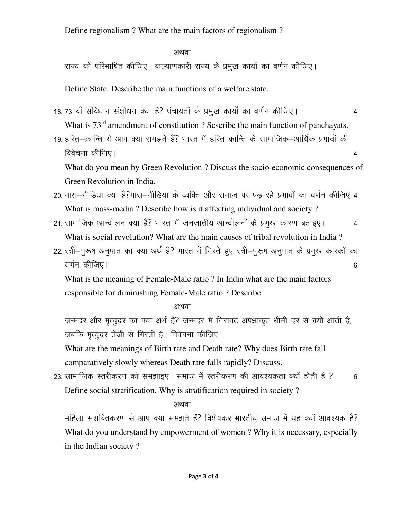Define regionalism ? What are the main factors of regionalism ?

# $\mathcal{L}_\text{F}$  *v*  $\mathcal{L}_\text{F}$   $\mathcal{L}_\text{F}$   $\mathcal{L}_\text{F}$   $\mathcal{L}_\text{F}$   $\mathcal{L}_\text{F}$   $\mathcal{L}_\text{F}$   $\mathcal{L}_\text{F}$   $\mathcal{L}_\text{F}$   $\mathcal{L}_\text{F}$   $\mathcal{L}_\text{F}$   $\mathcal{L}_\text{F}$   $\mathcal{L}_\text{F}$   $\mathcal{L}_\text{F}$   $\mathcal{L}_\text{F}$   $\mathcal{L$

राज्य को परिभाषित कीजिए। कल्याणकारी राज्य के प्रमुख कार्यों का वर्णन कीजिए।

Define State. Describe the main functions of a welfare state.

- 18.73 वॉं संविधान संशोधन क्या है? पंचायतों के प्रमुख कार्यों का वर्णन कीजिए। 4 What is  $73<sup>rd</sup>$  amendment of constitution ? Sescribe the main function of panchayats.
- 19. हरित—क्रान्ति से आप क्या समझते हैं? भारत में हरित क्रान्ति के सामाजिक—आर्थिक प्रभावों की *foo spuk dhft,A 4*

What do you mean by Green Revolution ? Discuss the socio-economic consequences of Green Revolution in India.

- 20. मास-मीडिया क्या है?मास-मीडिया के व्यक्ति और समाज पर पड़ रहे प्रभावों का वर्णन कीजिए।4 What is mass-media ? Describe how is it affecting individual and society ?
- 21. सामाजिक आन्दोलन क्या है? भारत में जनजातीय आन्दोलनों के प्रमुख कारण बताइए। 24 What is social revolution? What are the main causes of tribal revolution in India ?
- 22. स्त्री-पुरूष अनुपात का क्या अर्थ है? भारत में गिरते हुए स्त्री-पुरूष अनुपात के प्रमुख कारकों का *o.k Zu dh*ft,A 66 *o.k 2u dhigaal ah aan ah aan ah aan ah aan ah aan ah aan ah aan ah aan ah aan ah aan ah aan a*

What is the meaning of Female-Male ratio ? In India what are the main factors responsible for diminishing Female-Male ratio ? Describe.

्या स्थान स्थान स्थान स्थान स्थान स्थान स्थान स्थान स्थान स्थान स्थान स्थान स्थान स्थान स्थान स्थान स्थान स्था<br>स्थान स्थान स्थान स्थान स्थान स्थान स्थान स्थान स्थान स्थान स्थान स्थान स्थान स्थान स्थान स्थान स्थान स्थान स

जन्मदर और मृत्युदर का क्या अर्थ है? जन्मदर में गिरावट अपेक्षाकृत धीमी दर से क्यों आती है, *जबकि मृत्युदर तेजी से गिरती है। विवेचना कीजिए।* 

What are the meanings of Birth rate and Death rate? Why does Birth rate fall comparatively slowly whereas Death rate falls rapidly? Discuss.

23. सामाजिक स्तरीकरण को समझाइए। समाज में स्तरीकरण की आवश्यकता क्यों होती है ? 6 Define social stratification. Why is stratification required in society ?

्या स्थान स्थान स्थान स्थान स्थान स्थान स्थान स्थान स्थान स्थान स्थान स्थान स्थान स्थान स्थान स्थान स्थान स्था<br>स्थान स्थान स्थान स्थान स्थान स्थान स्थान स्थान स्थान स्थान स्थान स्थान स्थान स्थान स्थान स्थान स्थान स्थान स

महिला सशक्तिकरण से आप क्या समझते हैं? विशेषकर भारतीय समाज में यह क्यों आवश्यक है? What do you understand by empowerment of women ? Why it is necessary, especially in the Indian society ?